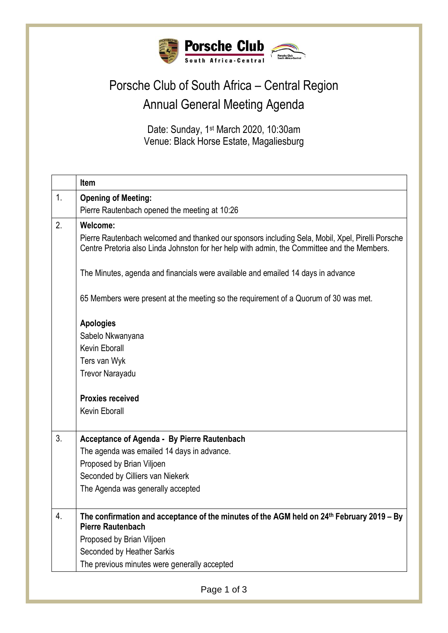

## Porsche Club of South Africa – Central Region Annual General Meeting Agenda

Date: Sunday, 1<sup>st</sup> March 2020, 10:30am Venue: Black Horse Estate, Magaliesburg

|    | Item                                                                                                                                                                                            |
|----|-------------------------------------------------------------------------------------------------------------------------------------------------------------------------------------------------|
| 1. | <b>Opening of Meeting:</b>                                                                                                                                                                      |
|    | Pierre Rautenbach opened the meeting at 10:26                                                                                                                                                   |
| 2. | <b>Welcome:</b>                                                                                                                                                                                 |
|    | Pierre Rautenbach welcomed and thanked our sponsors including Sela, Mobil, Xpel, Pirelli Porsche<br>Centre Pretoria also Linda Johnston for her help with admin, the Committee and the Members. |
|    | The Minutes, agenda and financials were available and emailed 14 days in advance                                                                                                                |
|    | 65 Members were present at the meeting so the requirement of a Quorum of 30 was met.                                                                                                            |
|    | <b>Apologies</b>                                                                                                                                                                                |
|    | Sabelo Nkwanyana                                                                                                                                                                                |
|    | Kevin Eborall                                                                                                                                                                                   |
|    | Ters van Wyk                                                                                                                                                                                    |
|    | Trevor Narayadu                                                                                                                                                                                 |
|    | <b>Proxies received</b>                                                                                                                                                                         |
|    | <b>Kevin Eborall</b>                                                                                                                                                                            |
|    |                                                                                                                                                                                                 |
| 3. | Acceptance of Agenda - By Pierre Rautenbach                                                                                                                                                     |
|    | The agenda was emailed 14 days in advance.                                                                                                                                                      |
|    | Proposed by Brian Viljoen                                                                                                                                                                       |
|    | Seconded by Cilliers van Niekerk                                                                                                                                                                |
|    | The Agenda was generally accepted                                                                                                                                                               |
| 4. | The confirmation and acceptance of the minutes of the AGM held on 24 <sup>th</sup> February 2019 - By<br><b>Pierre Rautenbach</b>                                                               |
|    | Proposed by Brian Viljoen                                                                                                                                                                       |
|    | Seconded by Heather Sarkis                                                                                                                                                                      |
|    | The previous minutes were generally accepted                                                                                                                                                    |
|    |                                                                                                                                                                                                 |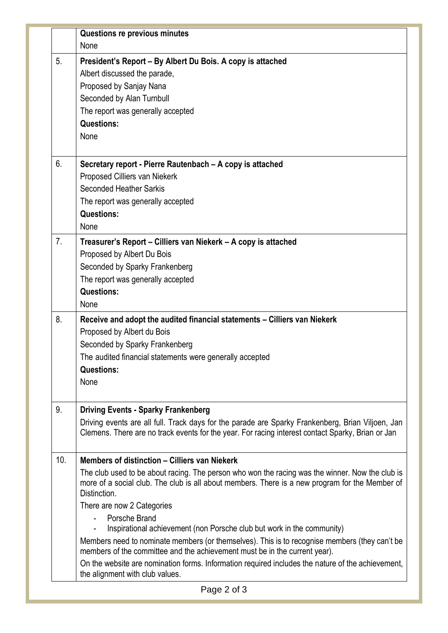|                | Questions re previous minutes                                                                                                                                                                                                                                                                                                                                                                                                                                                                                                                                                                                                                                                                                      |
|----------------|--------------------------------------------------------------------------------------------------------------------------------------------------------------------------------------------------------------------------------------------------------------------------------------------------------------------------------------------------------------------------------------------------------------------------------------------------------------------------------------------------------------------------------------------------------------------------------------------------------------------------------------------------------------------------------------------------------------------|
|                | None                                                                                                                                                                                                                                                                                                                                                                                                                                                                                                                                                                                                                                                                                                               |
| 5.             | President's Report - By Albert Du Bois. A copy is attached<br>Albert discussed the parade,<br>Proposed by Sanjay Nana<br>Seconded by Alan Turnbull<br>The report was generally accepted<br><b>Questions:</b><br>None                                                                                                                                                                                                                                                                                                                                                                                                                                                                                               |
| 6.             | Secretary report - Pierre Rautenbach - A copy is attached                                                                                                                                                                                                                                                                                                                                                                                                                                                                                                                                                                                                                                                          |
|                | Proposed Cilliers van Niekerk<br>Seconded Heather Sarkis<br>The report was generally accepted<br><b>Questions:</b><br>None                                                                                                                                                                                                                                                                                                                                                                                                                                                                                                                                                                                         |
| 7 <sub>1</sub> | Treasurer's Report – Cilliers van Niekerk – A copy is attached<br>Proposed by Albert Du Bois<br>Seconded by Sparky Frankenberg<br>The report was generally accepted<br><b>Questions:</b><br>None                                                                                                                                                                                                                                                                                                                                                                                                                                                                                                                   |
| 8.             | Receive and adopt the audited financial statements - Cilliers van Niekerk<br>Proposed by Albert du Bois<br>Seconded by Sparky Frankenberg<br>The audited financial statements were generally accepted<br><b>Questions:</b><br>None                                                                                                                                                                                                                                                                                                                                                                                                                                                                                 |
| 9.             | <b>Driving Events - Sparky Frankenberg</b><br>Driving events are all full. Track days for the parade are Sparky Frankenberg, Brian Viljoen, Jan<br>Clemens. There are no track events for the year. For racing interest contact Sparky, Brian or Jan                                                                                                                                                                                                                                                                                                                                                                                                                                                               |
| 10.            | Members of distinction – Cilliers van Niekerk<br>The club used to be about racing. The person who won the racing was the winner. Now the club is<br>more of a social club. The club is all about members. There is a new program for the Member of<br>Distinction.<br>There are now 2 Categories<br>Porsche Brand<br>Inspirational achievement (non Porsche club but work in the community)<br>Members need to nominate members (or themselves). This is to recognise members (they can't be<br>members of the committee and the achievement must be in the current year).<br>On the website are nomination forms. Information required includes the nature of the achievement,<br>the alignment with club values. |
|                |                                                                                                                                                                                                                                                                                                                                                                                                                                                                                                                                                                                                                                                                                                                    |